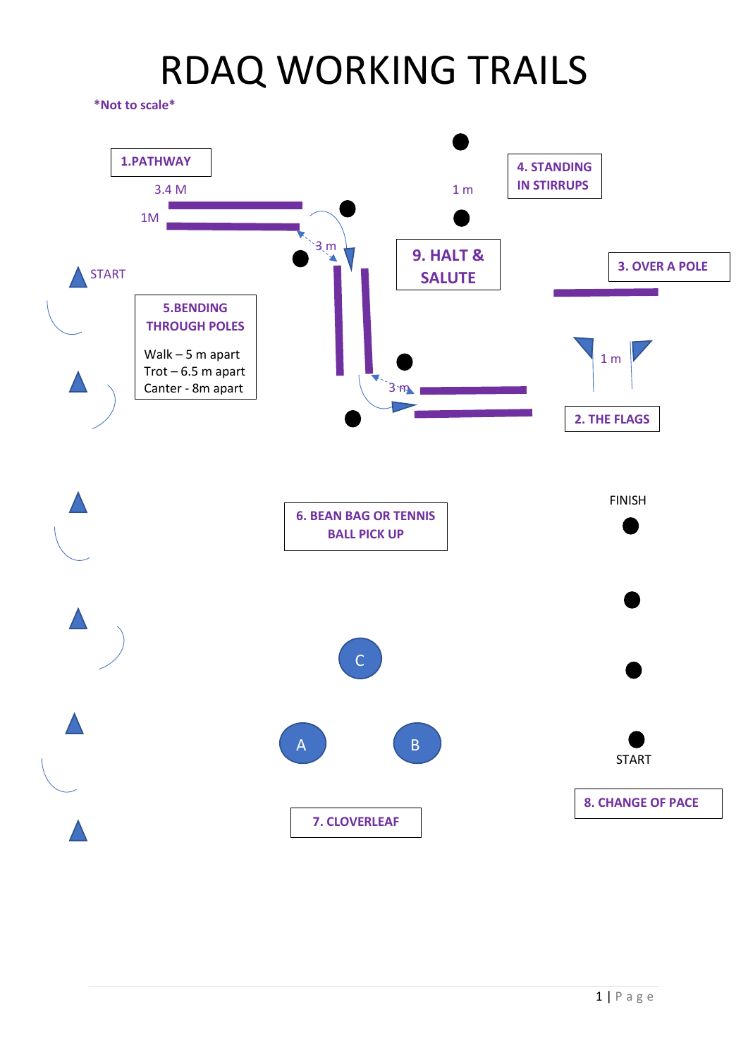**\*Not to scale\***

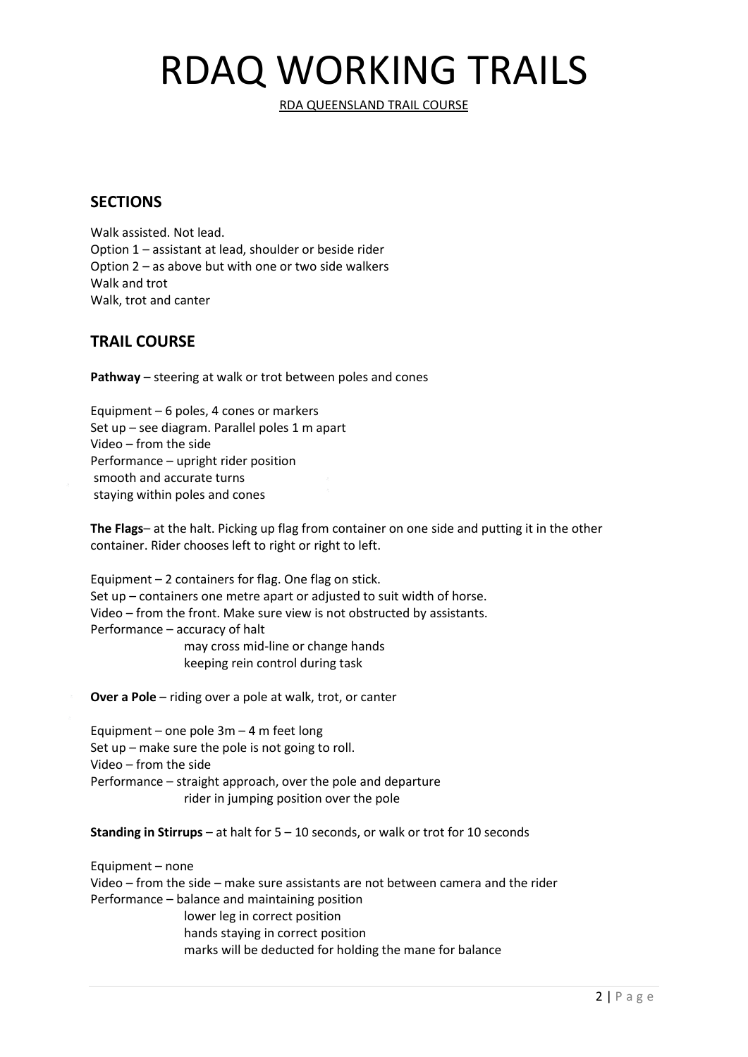RDA QUEENSLAND TRAIL COURSE

#### **SECTIONS**

Walk assisted. Not lead. Option 1 – assistant at lead, shoulder or beside rider Option 2 – as above but with one or two side walkers Walk and trot Walk, trot and canter

### **TRAIL COURSE**

**Pathway** – steering at walk or trot between poles and cones

Equipment – 6 poles, 4 cones or markers Set up – see diagram. Parallel poles 1 m apart Video – from the side Performance – upright rider position smooth and accurate turns staying within poles and cones

**The Flags**– at the halt. Picking up flag from container on one side and putting it in the other container. Rider chooses left to right or right to left.

Equipment – 2 containers for flag. One flag on stick. Set up – containers one metre apart or adjusted to suit width of horse. Video – from the front. Make sure view is not obstructed by assistants. Performance – accuracy of halt may cross mid-line or change hands

keeping rein control during task

**Over a Pole** – riding over a pole at walk, trot, or canter

Equipment – one pole  $3m - 4$  m feet long Set up – make sure the pole is not going to roll. Video – from the side Performance – straight approach, over the pole and departure rider in jumping position over the pole

**Standing in Stirrups** – at halt for 5 – 10 seconds, or walk or trot for 10 seconds

Equipment – none Video – from the side – make sure assistants are not between camera and the rider Performance – balance and maintaining position lower leg in correct position hands staying in correct position marks will be deducted for holding the mane for balance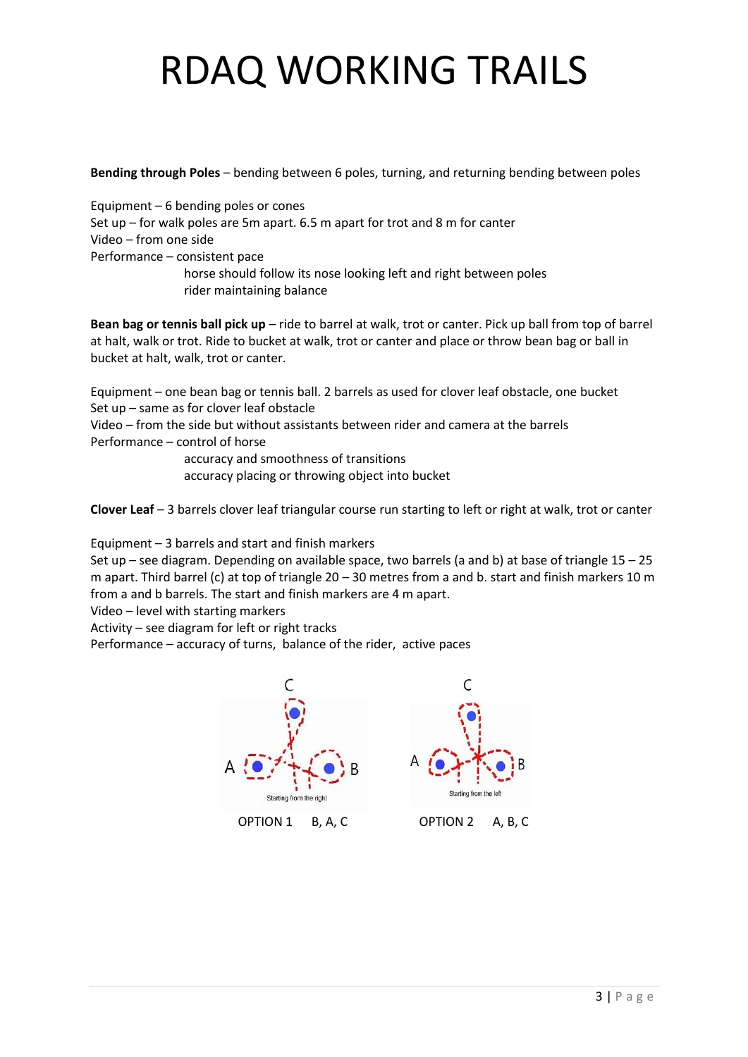**Bending through Poles** – bending between 6 poles, turning, and returning bending between poles

Equipment – 6 bending poles or cones Set up – for walk poles are 5m apart. 6.5 m apart for trot and 8 m for canter Video – from one side Performance – consistent pace horse should follow its nose looking left and right between poles rider maintaining balance

**Bean bag or tennis ball pick up** – ride to barrel at walk, trot or canter. Pick up ball from top of barrel at halt, walk or trot. Ride to bucket at walk, trot or canter and place or throw bean bag or ball in bucket at halt, walk, trot or canter.

Equipment – one bean bag or tennis ball. 2 barrels as used for clover leaf obstacle, one bucket Set up – same as for clover leaf obstacle

Video – from the side but without assistants between rider and camera at the barrels Performance – control of horse

> accuracy and smoothness of transitions accuracy placing or throwing object into bucket

**Clover Leaf** – 3 barrels clover leaf triangular course run starting to left or right at walk, trot or canter

Equipment – 3 barrels and start and finish markers

Set up – see diagram. Depending on available space, two barrels (a and b) at base of triangle 15 – 25 m apart. Third barrel (c) at top of triangle 20 – 30 metres from a and b. start and finish markers 10 m from a and b barrels. The start and finish markers are 4 m apart.

Video – level with starting markers

Activity – see diagram for left or right tracks

Performance – accuracy of turns, balance of the rider, active paces